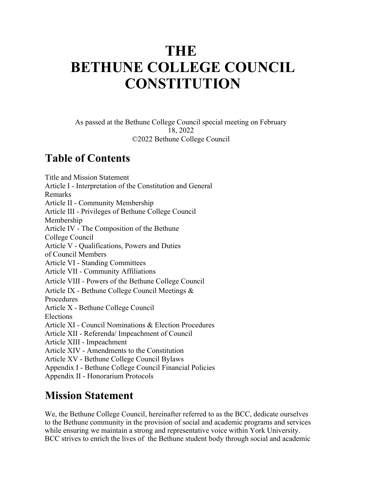# **THE BETHUNE COLLEGE COUNCIL CONSTITUTION**

As passed at the Bethune College Council special meeting on February 18, 2022 ©2022 Bethune College Council

### **Table of Contents**

Title and Mission Statement Article I - Interpretation of the Constitution and General Remarks Article II - Community Membership Article III - Privileges of Bethune College Council Membership Article IV - The Composition of the Bethune College Council Article V - Qualifications, Powers and Duties of Council Members Article VI - Standing Committees Article VII - Community Affiliations Article VIII - Powers of the Bethune College Council Article IX - Bethune College Council Meetings & Procedures Article X - Bethune College Council Elections Article XI - Council Nominations & Election Procedures Article XII - Referenda/ Impeachment of Council Article XIII - Impeachment Article XIV - Amendments to the Constitution Article XV - Bethune College Council Bylaws Appendix I - Bethune College Council Financial Policies Appendix II - Honorarium Protocols

### **Mission Statement**

We, the Bethune College Council, hereinafter referred to as the BCC, dedicate ourselves to the Bethune community in the provision of social and academic programs and services while ensuring we maintain a strong and representative voice within York University. BCC strives to enrich the lives of the Bethune student body through social and academic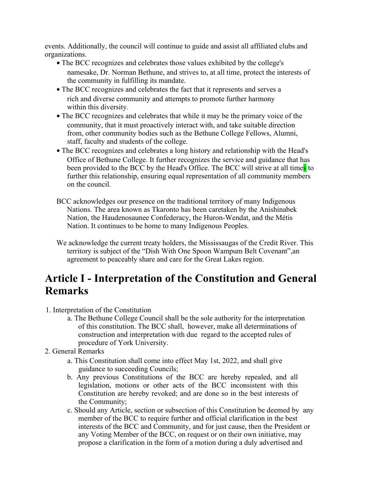events. Additionally, the council will continue to guide and assist all affiliated clubs and organizations.

- The BCC recognizes and celebrates those values exhibited by the college's namesake, Dr. Norman Bethune, and strives to, at all time, protect the interests of the community in fulfilling its mandate.
- The BCC recognizes and celebrates the fact that it represents and serves a rich and diverse community and attempts to promote further harmony within this diversity.
- The BCC recognizes and celebrates that while it may be the primary voice of the community, that it must proactively interact with, and take suitable direction from, other community bodies such as the Bethune College Fellows, Alumni, staff, faculty and students of the college.
- The BCC recognizes and celebrates a long history and relationship with the Head's Office of Bethune College. It further recognizes the service and guidance that has been provided to the BCC by the Head's Office. The BCC will strive at all times to further this relationship, ensuring equal representation of all community members on the council.
- BCC acknowledges our presence on the traditional territory of many Indigenous Nations. The area known as Tkaronto has been caretaken by the Anishinabek Nation, the Haudenosaunee Confederacy, the Huron-Wendat, and the Métis Nation. It continues to be home to many Indigenous Peoples.
- We acknowledge the current treaty holders, the Mississaugas of the Credit River. This territory is subject of the "Dish With One Spoon Wampum Belt Covenant",an agreement to peaceably share and care for the Great Lakes region.

# **Article I - Interpretation of the Constitution and General Remarks**

- 1. Interpretation of the Constitution
	- a. The Bethune College Council shall be the sole authority for the interpretation of this constitution. The BCC shall, however, make all determinations of construction and interpretation with due regard to the accepted rules of procedure of York University.
- 2. General Remarks
	- a. This Constitution shall come into effect May 1st, 2022, and shall give guidance to succeeding Councils;
	- b. Any previous Constitutions of the BCC are hereby repealed, and all legislation, motions or other acts of the BCC inconsistent with this Constitution are hereby revoked; and are done so in the best interests of the Community;
	- c. Should any Article, section or subsection of this Constitution be deemed by any member of the BCC to require further and official clarification in the best interests of the BCC and Community, and for just cause, then the President or any Voting Member of the BCC, on request or on their own initiative, may propose a clarification in the form of a motion during a duly advertised and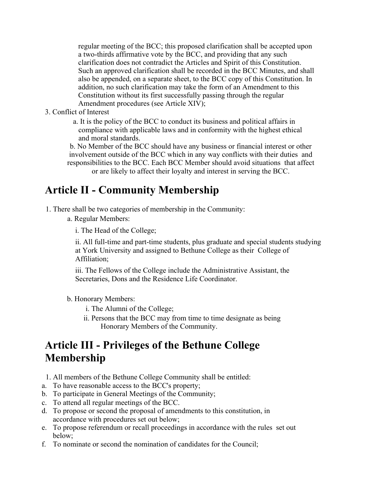regular meeting of the BCC; this proposed clarification shall be accepted upon a two-thirds affirmative vote by the BCC, and providing that any such clarification does not contradict the Articles and Spirit of this Constitution. Such an approved clarification shall be recorded in the BCC Minutes, and shall also be appended, on a separate sheet, to the BCC copy of this Constitution. In addition, no such clarification may take the form of an Amendment to this Constitution without its first successfully passing through the regular Amendment procedures (see Article XIV);

3. Conflict of Interest

a. It is the policy of the BCC to conduct its business and political affairs in compliance with applicable laws and in conformity with the highest ethical and moral standards.

b. No Member of the BCC should have any business or financial interest or other involvement outside of the BCC which in any way conflicts with their duties and responsibilities to the BCC. Each BCC Member should avoid situations that affect or are likely to affect their loyalty and interest in serving the BCC.

# **Article II - Community Membership**

- 1. There shall be two categories of membership in the Community:
	- a. Regular Members:
		- i. The Head of the College;

ii. All full-time and part-time students, plus graduate and special students studying at York University and assigned to Bethune College as their College of Affiliation;

iii. The Fellows of the College include the Administrative Assistant, the Secretaries, Dons and the Residence Life Coordinator.

- b. Honorary Members:
	- i. The Alumni of the College;
	- ii. Persons that the BCC may from time to time designate as being Honorary Members of the Community.

### **Article III - Privileges of the Bethune College Membership**

- 1. All members of the Bethune College Community shall be entitled:
- a. To have reasonable access to the BCC's property;
- b. To participate in General Meetings of the Community;
- c. To attend all regular meetings of the BCC.
- d. To propose or second the proposal of amendments to this constitution, in accordance with procedures set out below;
- e. To propose referendum or recall proceedings in accordance with the rules set out below;
- f. To nominate or second the nomination of candidates for the Council;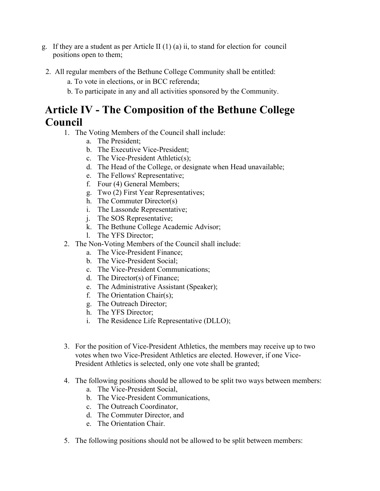- g. If they are a student as per Article II (1) (a) ii, to stand for election for council positions open to them;
- 2. All regular members of the Bethune College Community shall be entitled:
	- a. To vote in elections, or in BCC referenda;
	- b. To participate in any and all activities sponsored by the Community.

### **Article IV - The Composition of the Bethune College Council**

- 1. The Voting Members of the Council shall include:
	- a. The President;
	- b. The Executive Vice-President;
	- c. The Vice-President Athletic(s);
	- d. The Head of the College, or designate when Head unavailable;
	- e. The Fellows' Representative;
	- f. Four (4) General Members;
	- g. Two (2) First Year Representatives;
	- h. The Commuter Director(s)
	- i. The Lassonde Representative;
	- j. The SOS Representative;
	- k. The Bethune College Academic Advisor;
	- l. The YFS Director;
- 2. The Non-Voting Members of the Council shall include:
	- a. The Vice-President Finance;
	- b. The Vice-President Social;
	- c. The Vice-President Communications;
	- d. The Director(s) of Finance;
	- e. The Administrative Assistant (Speaker);
	- f. The Orientation Chair(s);
	- g. The Outreach Director;
	- h. The YFS Director;
	- i. The Residence Life Representative (DLLO);
- 3. For the position of Vice-President Athletics, the members may receive up to two votes when two Vice-President Athletics are elected. However, if one Vice-President Athletics is selected, only one vote shall be granted;
- 4. The following positions should be allowed to be split two ways between members:
	- a. The Vice-President Social,
	- b. The Vice-President Communications,
	- c. The Outreach Coordinator,
	- d. The Commuter Director, and
	- e. The Orientation Chair.
- 5. The following positions should not be allowed to be split between members: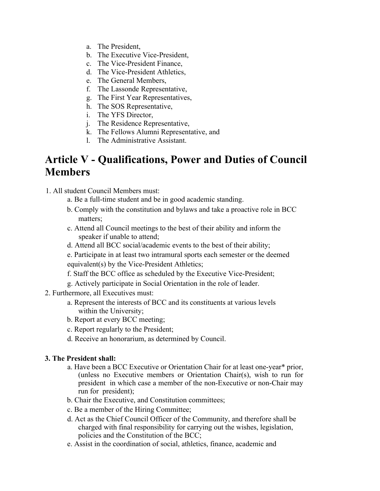- a. The President,
- b. The Executive Vice-President,
- c. The Vice-President Finance,
- d. The Vice-President Athletics,
- e. The General Members,
- f. The Lassonde Representative,
- g. The First Year Representatives,
- h. The SOS Representative,
- i. The YFS Director,
- j. The Residence Representative,
- k. The Fellows Alumni Representative, and
- l. The Administrative Assistant.

### **Article V - Qualifications, Power and Duties of Council Members**

- 1. All student Council Members must:
	- a. Be a full-time student and be in good academic standing.
	- b. Comply with the constitution and bylaws and take a proactive role in BCC matters;
	- c. Attend all Council meetings to the best of their ability and inform the speaker if unable to attend;
	- d. Attend all BCC social/academic events to the best of their ability;

e. Participate in at least two intramural sports each semester or the deemed equivalent(s) by the Vice-President Athletics;

- f. Staff the BCC office as scheduled by the Executive Vice-President;
- g. Actively participate in Social Orientation in the role of leader.
- 2. Furthermore, all Executives must:
	- a. Represent the interests of BCC and its constituents at various levels within the University;
	- b. Report at every BCC meeting;
	- c. Report regularly to the President;
	- d. Receive an honorarium, as determined by Council.

#### **3. The President shall:**

- a. Have been a BCC Executive or Orientation Chair for at least one-year\* prior, (unless no Executive members or Orientation Chair(s), wish to run for president in which case a member of the non-Executive or non-Chair may run for president);
- b. Chair the Executive, and Constitution committees;
- c. Be a member of the Hiring Committee;
- d. Act as the Chief Council Officer of the Community, and therefore shall be charged with final responsibility for carrying out the wishes, legislation, policies and the Constitution of the BCC;
- e. Assist in the coordination of social, athletics, finance, academic and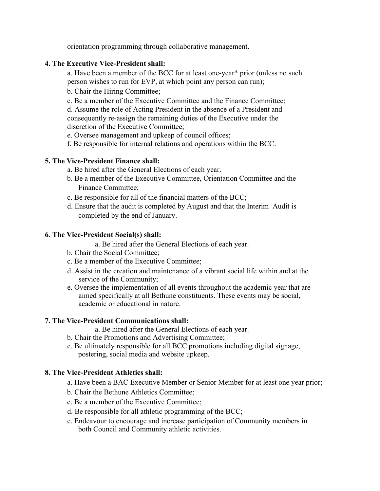orientation programming through collaborative management.

#### **4. The Executive Vice-President shall:**

a. Have been a member of the BCC for at least one-year\* prior (unless no such person wishes to run for EVP, at which point any person can run);

b. Chair the Hiring Committee;

c. Be a member of the Executive Committee and the Finance Committee;

d. Assume the role of Acting President in the absence of a President and consequently re-assign the remaining duties of the Executive under the discretion of the Executive Committee;

e. Oversee management and upkeep of council offices;

f. Be responsible for internal relations and operations within the BCC.

#### **5. The Vice-President Finance shall:**

- a. Be hired after the General Elections of each year.
- b. Be a member of the Executive Committee, Orientation Committee and the Finance Committee;
- c. Be responsible for all of the financial matters of the BCC;
- d. Ensure that the audit is completed by August and that the Interim Audit is completed by the end of January.

#### **6. The Vice-President Social(s) shall:**

a. Be hired after the General Elections of each year.

- b. Chair the Social Committee;
- c. Be a member of the Executive Committee;
- d. Assist in the creation and maintenance of a vibrant social life within and at the service of the Community;
- e. Oversee the implementation of all events throughout the academic year that are aimed specifically at all Bethune constituents. These events may be social, academic or educational in nature.

#### **7. The Vice-President Communications shall:**

a. Be hired after the General Elections of each year.

- b. Chair the Promotions and Advertising Committee;
- c. Be ultimately responsible for all BCC promotions including digital signage, postering, social media and website upkeep.

#### **8. The Vice-President Athletics shall:**

- a. Have been a BAC Executive Member or Senior Member for at least one year prior;
- b. Chair the Bethune Athletics Committee;
- c. Be a member of the Executive Committee;
- d. Be responsible for all athletic programming of the BCC;
- e. Endeavour to encourage and increase participation of Community members in both Council and Community athletic activities.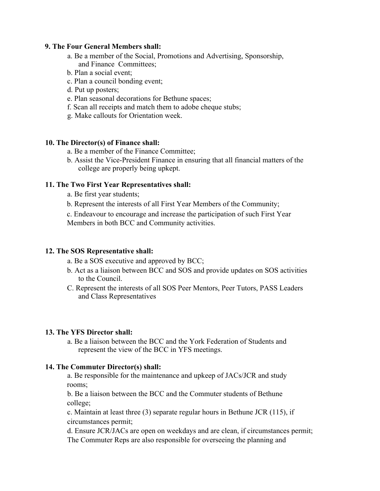#### **9. The Four General Members shall:**

- a. Be a member of the Social, Promotions and Advertising, Sponsorship, and Finance Committees;
- b. Plan a social event;
- c. Plan a council bonding event;
- d. Put up posters;
- e. Plan seasonal decorations for Bethune spaces;
- f. Scan all receipts and match them to adobe cheque stubs;
- g. Make callouts for Orientation week.

#### **10. The Director(s) of Finance shall:**

- a. Be a member of the Finance Committee;
- b. Assist the Vice-President Finance in ensuring that all financial matters of the college are properly being upkept.

#### **11. The Two First Year Representatives shall:**

- a. Be first year students;
- b. Represent the interests of all First Year Members of the Community;

c. Endeavour to encourage and increase the participation of such First Year Members in both BCC and Community activities.

#### **12. The SOS Representative shall:**

- a. Be a SOS executive and approved by BCC;
- b. Act as a liaison between BCC and SOS and provide updates on SOS activities to the Council.
- C. Represent the interests of all SOS Peer Mentors, Peer Tutors, PASS Leaders and Class Representatives

#### **13. The YFS Director shall:**

a. Be a liaison between the BCC and the York Federation of Students and represent the view of the BCC in YFS meetings.

#### **14. The Commuter Director(s) shall:**

a. Be responsible for the maintenance and upkeep of JACs/JCR and study rooms;

b. Be a liaison between the BCC and the Commuter students of Bethune college;

c. Maintain at least three (3) separate regular hours in Bethune JCR (115), if circumstances permit;

d. Ensure JCR/JACs are open on weekdays and are clean, if circumstances permit; The Commuter Reps are also responsible for overseeing the planning and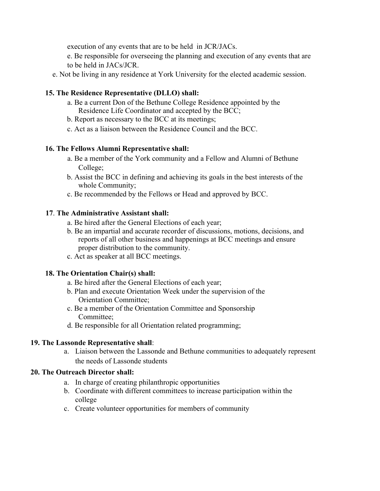execution of any events that are to be held in JCR/JACs.

e. Be responsible for overseeing the planning and execution of any events that are to be held in JACs/JCR.

e. Not be living in any residence at York University for the elected academic session.

#### **15. The Residence Representative (DLLO) shall:**

- a. Be a current Don of the Bethune College Residence appointed by the Residence Life Coordinator and accepted by the BCC;
- b. Report as necessary to the BCC at its meetings;
- c. Act as a liaison between the Residence Council and the BCC.

#### **16. The Fellows Alumni Representative shall:**

- a. Be a member of the York community and a Fellow and Alumni of Bethune College;
- b. Assist the BCC in defining and achieving its goals in the best interests of the whole Community;
- c. Be recommended by the Fellows or Head and approved by BCC.

#### **17**. **The Administrative Assistant shall:**

- a. Be hired after the General Elections of each year;
- b. Be an impartial and accurate recorder of discussions, motions, decisions, and reports of all other business and happenings at BCC meetings and ensure proper distribution to the community.
- c. Act as speaker at all BCC meetings.

#### **18. The Orientation Chair(s) shall:**

- a. Be hired after the General Elections of each year;
- b. Plan and execute Orientation Week under the supervision of the Orientation Committee;
- c. Be a member of the Orientation Committee and Sponsorship Committee;
- d. Be responsible for all Orientation related programming;

#### **19. The Lassonde Representative shall**:

a. Liaison between the Lassonde and Bethune communities to adequately represent the needs of Lassonde students

#### **20. The Outreach Director shall:**

- a. In charge of creating philanthropic opportunities
- b. Coordinate with different committees to increase participation within the college
- c. Create volunteer opportunities for members of community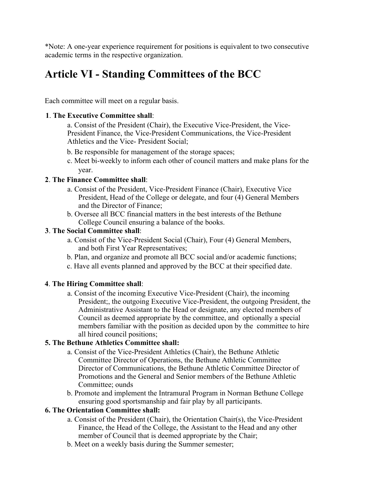\*Note: A one-year experience requirement for positions is equivalent to two consecutive academic terms in the respective organization.

# **Article VI - Standing Committees of the BCC**

Each committee will meet on a regular basis.

#### **1**. **The Executive Committee shall**:

a. Consist of the President (Chair), the Executive Vice-President, the Vice-President Finance, the Vice-President Communications, the Vice-President Athletics and the Vice- President Social;

- b. Be responsible for management of the storage spaces;
- c. Meet bi-weekly to inform each other of council matters and make plans for the year.

#### **2**. **The Finance Committee shall**:

- a. Consist of the President, Vice-President Finance (Chair), Executive Vice President, Head of the College or delegate, and four (4) General Members and the Director of Finance;
- b. Oversee all BCC financial matters in the best interests of the Bethune College Council ensuring a balance of the books.

#### **3**. **The Social Committee shall**:

- a. Consist of the Vice-President Social (Chair), Four (4) General Members, and both First Year Representatives;
- b. Plan, and organize and promote all BCC social and/or academic functions;
- c. Have all events planned and approved by the BCC at their specified date.

#### **4**. **The Hiring Committee shall**:

a. Consist of the incoming Executive Vice-President (Chair), the incoming President;, the outgoing Executive Vice-President, the outgoing President, the Administrative Assistant to the Head or designate, any elected members of Council as deemed appropriate by the committee, and optionally a special members familiar with the position as decided upon by the committee to hire all hired council positions;

#### **5. The Bethune Athletics Committee shall:**

- a. Consist of the Vice-President Athletics (Chair), the Bethune Athletic Committee Director of Operations, the Bethune Athletic Committee Director of Communications, the Bethune Athletic Committee Director of Promotions and the General and Senior members of the Bethune Athletic Committee; ounds
- b. Promote and implement the Intramural Program in Norman Bethune College ensuring good sportsmanship and fair play by all participants.

#### **6. The Orientation Committee shall:**

- a. Consist of the President (Chair), the Orientation Chair(s), the Vice-President Finance, the Head of the College, the Assistant to the Head and any other member of Council that is deemed appropriate by the Chair;
- b. Meet on a weekly basis during the Summer semester;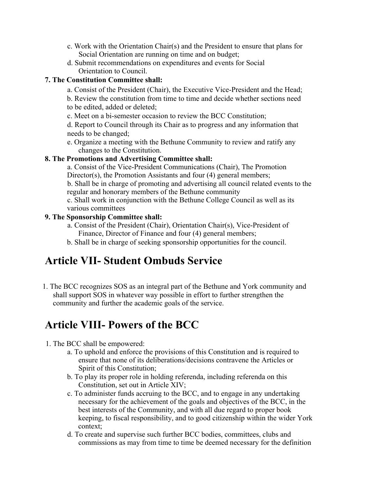- c. Work with the Orientation Chair(s) and the President to ensure that plans for Social Orientation are running on time and on budget;
- d. Submit recommendations on expenditures and events for Social Orientation to Council.

#### **7. The Constitution Committee shall:**

- a. Consist of the President (Chair), the Executive Vice-President and the Head;
- b. Review the constitution from time to time and decide whether sections need to be edited, added or deleted;
- c. Meet on a bi-semester occasion to review the BCC Constitution;
- d. Report to Council through its Chair as to progress and any information that needs to be changed;
- e. Organize a meeting with the Bethune Community to review and ratify any changes to the Constitution.

#### **8. The Promotions and Advertising Committee shall:**

a. Consist of the Vice-President Communications (Chair), The Promotion Director(s), the Promotion Assistants and four (4) general members; b. Shall be in charge of promoting and advertising all council related events to the regular and honorary members of the Bethune community c. Shall work in conjunction with the Bethune College Council as well as its

various committees

#### **9. The Sponsorship Committee shall:**

- a. Consist of the President (Chair), Orientation Chair(s), Vice-President of Finance, Director of Finance and four (4) general members;
- b. Shall be in charge of seeking sponsorship opportunities for the council.

### **Article VII- Student Ombuds Service**

1. The BCC recognizes SOS as an integral part of the Bethune and York community and shall support SOS in whatever way possible in effort to further strengthen the community and further the academic goals of the service.

# **Article VIII- Powers of the BCC**

- 1. The BCC shall be empowered:
	- a. To uphold and enforce the provisions of this Constitution and is required to ensure that none of its deliberations/decisions contravene the Articles or Spirit of this Constitution;
	- b. To play its proper role in holding referenda, including referenda on this Constitution, set out in Article XIV;
	- c. To administer funds accruing to the BCC, and to engage in any undertaking necessary for the achievement of the goals and objectives of the BCC, in the best interests of the Community, and with all due regard to proper book keeping, to fiscal responsibility, and to good citizenship within the wider York context;
	- d. To create and supervise such further BCC bodies, committees, clubs and commissions as may from time to time be deemed necessary for the definition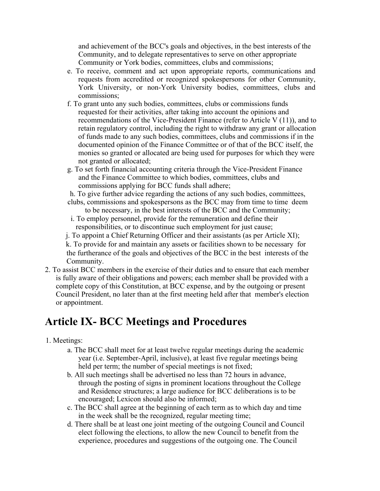and achievement of the BCC's goals and objectives, in the best interests of the Community, and to delegate representatives to serve on other appropriate Community or York bodies, committees, clubs and commissions;

- e. To receive, comment and act upon appropriate reports, communications and requests from accredited or recognized spokespersons for other Community, York University, or non-York University bodies, committees, clubs and commissions;
- f. To grant unto any such bodies, committees, clubs or commissions funds requested for their activities, after taking into account the opinions and recommendations of the Vice-President Finance (refer to Article V (11)), and to retain regulatory control, including the right to withdraw any grant or allocation of funds made to any such bodies, committees, clubs and commissions if in the documented opinion of the Finance Committee or of that of the BCC itself, the monies so granted or allocated are being used for purposes for which they were not granted or allocated;
- g. To set forth financial accounting criteria through the Vice-President Finance and the Finance Committee to which bodies, committees, clubs and commissions applying for BCC funds shall adhere;

h. To give further advice regarding the actions of any such bodies, committees,

- clubs, commissions and spokespersons as the BCC may from time to time deem to be necessary, in the best interests of the BCC and the Community;
- i. To employ personnel, provide for the remuneration and define their responsibilities, or to discontinue such employment for just cause;
- j. To appoint a Chief Returning Officer and their assistants (as per Article XI);

k. To provide for and maintain any assets or facilities shown to be necessary for the furtherance of the goals and objectives of the BCC in the best interests of the Community.

2. To assist BCC members in the exercise of their duties and to ensure that each member is fully aware of their obligations and powers; each member shall be provided with a complete copy of this Constitution, at BCC expense, and by the outgoing or present Council President, no later than at the first meeting held after that member's election or appointment.

### **Article IX- BCC Meetings and Procedures**

#### 1. Meetings:

- a. The BCC shall meet for at least twelve regular meetings during the academic year (i.e. September-April, inclusive), at least five regular meetings being held per term; the number of special meetings is not fixed;
- b. All such meetings shall be advertised no less than 72 hours in advance, through the posting of signs in prominent locations throughout the College and Residence structures; a large audience for BCC deliberations is to be encouraged; Lexicon should also be informed;
- c. The BCC shall agree at the beginning of each term as to which day and time in the week shall be the recognized, regular meeting time;
- d. There shall be at least one joint meeting of the outgoing Council and Council elect following the elections, to allow the new Council to benefit from the experience, procedures and suggestions of the outgoing one. The Council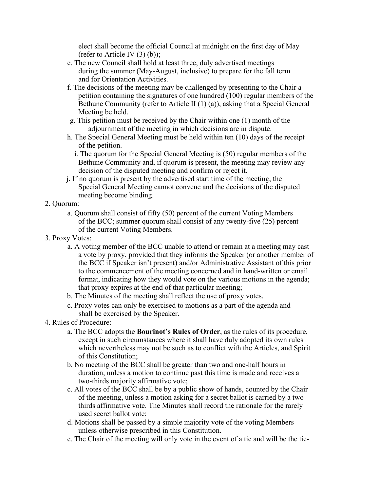elect shall become the official Council at midnight on the first day of May (refer to Article IV $(3)$  $(b)$ );

- e. The new Council shall hold at least three, duly advertised meetings during the summer (May-August, inclusive) to prepare for the fall term and for Orientation Activities.
- f. The decisions of the meeting may be challenged by presenting to the Chair a petition containing the signatures of one hundred (100) regular members of the Bethune Community (refer to Article II (1) (a)), asking that a Special General Meeting be held.
- g. This petition must be received by the Chair within one (1) month of the adjournment of the meeting in which decisions are in dispute.
- h. The Special General Meeting must be held within ten (10) days of the receipt of the petition.
	- i. The quorum for the Special General Meeting is (50) regular members of the Bethune Community and, if quorum is present, the meeting may review any decision of the disputed meeting and confirm or reject it.
- j. If no quorum is present by the advertised start time of the meeting, the Special General Meeting cannot convene and the decisions of the disputed meeting become binding.

#### 2. Quorum:

a. Quorum shall consist of fifty (50) percent of the current Voting Members of the BCC; summer quorum shall consist of any twenty-five (25) percent of the current Voting Members.

#### 3. Proxy Votes:

- a. A voting member of the BCC unable to attend or remain at a meeting may cast a vote by proxy, provided that they informs the Speaker (or another member of the BCC if Speaker isn't present) and/or Administrative Assistant of this prior to the commencement of the meeting concerned and in hand-written or email format, indicating how they would vote on the various motions in the agenda; that proxy expires at the end of that particular meeting;
- b. The Minutes of the meeting shall reflect the use of proxy votes.
- c. Proxy votes can only be exercised to motions as a part of the agenda and shall be exercised by the Speaker.
- 4. Rules of Procedure:
	- a. The BCC adopts the **Bourinot's Rules of Order**, as the rules of its procedure, except in such circumstances where it shall have duly adopted its own rules which nevertheless may not be such as to conflict with the Articles, and Spirit of this Constitution;
	- b. No meeting of the BCC shall be greater than two and one-half hours in duration, unless a motion to continue past this time is made and receives a two-thirds majority affirmative vote;
	- c. All votes of the BCC shall be by a public show of hands, counted by the Chair of the meeting, unless a motion asking for a secret ballot is carried by a two thirds affirmative vote. The Minutes shall record the rationale for the rarely used secret ballot vote;
	- d. Motions shall be passed by a simple majority vote of the voting Members unless otherwise prescribed in this Constitution.
	- e. The Chair of the meeting will only vote in the event of a tie and will be the tie-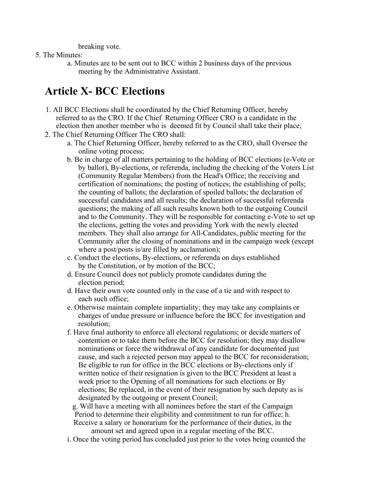breaking vote.

- 5. The Minutes:
	- a. Minutes are to be sent out to BCC within 2 business days of the previous meeting by the Administrative Assistant.

# **Article X- BCC Elections**

- 1. All BCC Elections shall be coordinated by the Chief Returning Officer, hereby referred to as the CRO. If the Chief Returning Officer CRO is a candidate in the election then another member who is deemed fit by Council shall take their place;
- 2. The Chief Returning Officer The CRO shall:
	- a. The Chief Returning Officer, hereby referred to as the CRO, shall Oversee the online voting process;
	- b. Be in charge of all matters pertaining to the holding of BCC elections (e-Vote or by ballot), By-elections, or referenda, including the checking of the Voters List (Community Regular Members) from the Head's Office; the receiving and certification of nominations; the posting of notices; the establishing of polls; the counting of ballots; the declaration of spoiled ballots; the declaration of successful candidates and all results; the declaration of successful referenda questions; the making of all such results known both to the outgoing Council and to the Community. They will be responsible for contacting e-Vote to set up the elections, getting the votes and providing York with the newly elected members. They shall also arrange for All-Candidates, public meeting for the Community after the closing of nominations and in the campaign week (except where a post/posts is/are filled by acclamation);
	- c. Conduct the elections, By-elections, or referenda on days established by the Constitution, or by motion of the BCC;
	- d. Ensure Council does not publicly promote candidates during the election period;
	- d. Have their own vote counted only in the case of a tie and with respect to each such office;
	- e. Otherwise maintain complete impartiality; they may take any complaints or charges of undue pressure or influence before the BCC for investigation and resolution;
	- f. Have final authority to enforce all electoral regulations; or decide matters of contention or to take them before the BCC for resolution; they may disallow nominations or force the withdrawal of any candidate for documented just cause, and such a rejected person may appeal to the BCC for reconsideration; Be eligible to run for office in the BCC elections or By-elections only if written notice of their resignation is given to the BCC President at least a week prior to the Opening of all nominations for such elections or By elections; Be replaced, in the event of their resignation by such deputy as is designated by the outgoing or present Council;

g. Will have a meeting with all nominees before the start of the Campaign Period to determine their eligibility and commitment to run for office; h.

Receive a salary or honorarium for the performance of their duties, in the amount set and agreed upon in a regular meeting of the BCC.

i. Once the voting period has concluded just prior to the votes being counted the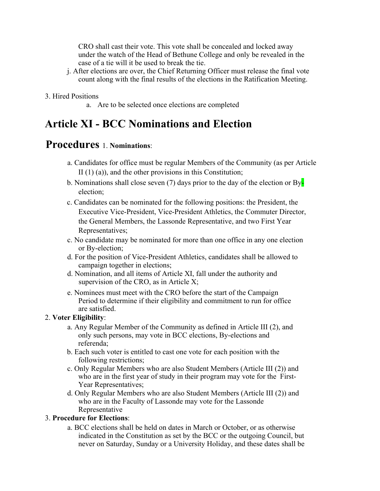CRO shall cast their vote. This vote shall be concealed and locked away under the watch of the Head of Bethune College and only be revealed in the case of a tie will it be used to break the tie.

- j. After elections are over, the Chief Returning Officer must release the final vote count along with the final results of the elections in the Ratification Meeting.
- 3. Hired Positions
	- a. Are to be selected once elections are completed

### **Article XI - BCC Nominations and Election**

### **Procedures** 1. **Nominations**:

- a. Candidates for office must be regular Members of the Community (as per Article II $(1)$  $(a)$ ), and the other provisions in this Constitution;
- b. Nominations shall close seven (7) days prior to the day of the election or  $By\blacksquare$ election;
- c. Candidates can be nominated for the following positions: the President, the Executive Vice-President, Vice-President Athletics, the Commuter Director, the General Members, the Lassonde Representative, and two First Year Representatives;
- c. No candidate may be nominated for more than one office in any one election or By-election;
- d. For the position of Vice-President Athletics, candidates shall be allowed to campaign together in elections;
- d. Nomination, and all items of Article XI, fall under the authority and supervision of the CRO, as in Article X;
- e. Nominees must meet with the CRO before the start of the Campaign Period to determine if their eligibility and commitment to run for office are satisfied.

#### 2. **Voter Eligibility**:

- a. Any Regular Member of the Community as defined in Article III (2), and only such persons, may vote in BCC elections, By-elections and referenda;
- b. Each such voter is entitled to cast one vote for each position with the following restrictions;
- c. Only Regular Members who are also Student Members (Article III (2)) and who are in the first year of study in their program may vote for the First-Year Representatives;
- d. Only Regular Members who are also Student Members (Article III (2)) and who are in the Faculty of Lassonde may vote for the Lassonde Representative

#### 3. **Procedure for Elections**:

a. BCC elections shall be held on dates in March or October, or as otherwise indicated in the Constitution as set by the BCC or the outgoing Council, but never on Saturday, Sunday or a University Holiday, and these dates shall be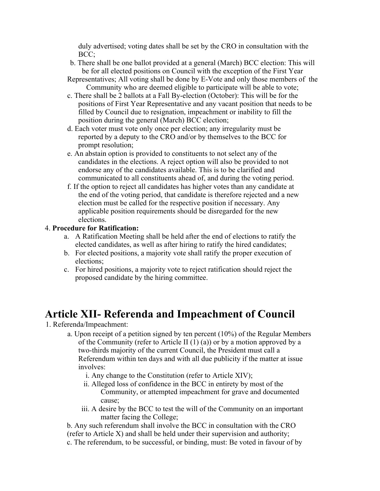duly advertised; voting dates shall be set by the CRO in consultation with the BCC;

- b. There shall be one ballot provided at a general (March) BCC election: This will be for all elected positions on Council with the exception of the First Year
- Representatives; All voting shall be done by E-Vote and only those members of the Community who are deemed eligible to participate will be able to vote;
- c. There shall be 2 ballots at a Fall By-election (October): This will be for the positions of First Year Representative and any vacant position that needs to be filled by Council due to resignation, impeachment or inability to fill the position during the general (March) BCC election;
- d. Each voter must vote only once per election; any irregularity must be reported by a deputy to the CRO and/or by themselves to the BCC for prompt resolution;
- e. An abstain option is provided to constituents to not select any of the candidates in the elections. A reject option will also be provided to not endorse any of the candidates available. This is to be clarified and communicated to all constituents ahead of, and during the voting period.
- f. If the option to reject all candidates has higher votes than any candidate at the end of the voting period, that candidate is therefore rejected and a new election must be called for the respective position if necessary. Any applicable position requirements should be disregarded for the new elections.

#### 4. **Procedure for Ratification:**

- a. A Ratification Meeting shall be held after the end of elections to ratify the elected candidates, as well as after hiring to ratify the hired candidates;
- b. For elected positions, a majority vote shall ratify the proper execution of elections;
- c. For hired positions, a majority vote to reject ratification should reject the proposed candidate by the hiring committee.

### **Article XII- Referenda and Impeachment of Council**

- 1. Referenda/Impeachment:
	- a. Upon receipt of a petition signed by ten percent (10%) of the Regular Members of the Community (refer to Article II  $(1)$   $(a)$ ) or by a motion approved by a two-thirds majority of the current Council, the President must call a Referendum within ten days and with all due publicity if the matter at issue involves:
		- i. Any change to the Constitution (refer to Article XIV);
		- ii. Alleged loss of confidence in the BCC in entirety by most of the Community, or attempted impeachment for grave and documented cause;
		- iii. A desire by the BCC to test the will of the Community on an important matter facing the College;

b. Any such referendum shall involve the BCC in consultation with the CRO (refer to Article X) and shall be held under their supervision and authority; c. The referendum, to be successful, or binding, must: Be voted in favour of by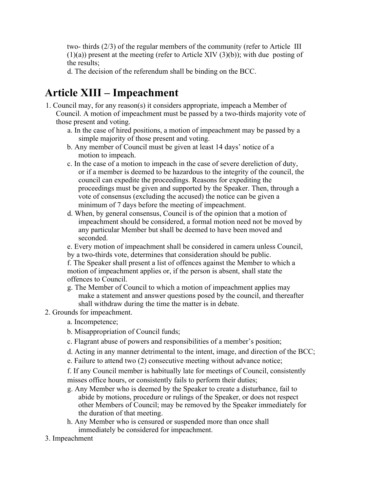two- thirds (2/3) of the regular members of the community (refer to Article III  $(1)(a)$ ) present at the meeting (refer to Article XIV  $(3)(b)$ ); with due posting of the results;

d. The decision of the referendum shall be binding on the BCC.

# **Article XIII – Impeachment**

- 1. Council may, for any reason(s) it considers appropriate, impeach a Member of Council. A motion of impeachment must be passed by a two-thirds majority vote of those present and voting.
	- a. In the case of hired positions, a motion of impeachment may be passed by a simple majority of those present and voting.
	- b. Any member of Council must be given at least 14 days' notice of a motion to impeach.
	- c. In the case of a motion to impeach in the case of severe dereliction of duty, or if a member is deemed to be hazardous to the integrity of the council, the council can expedite the proceedings. Reasons for expediting the proceedings must be given and supported by the Speaker. Then, through a vote of consensus (excluding the accused) the notice can be given a minimum of 7 days before the meeting of impeachment.
	- d. When, by general consensus, Council is of the opinion that a motion of impeachment should be considered, a formal motion need not be moved by any particular Member but shall be deemed to have been moved and seconded.
	- e. Every motion of impeachment shall be considered in camera unless Council, by a two-thirds vote, determines that consideration should be public.

f. The Speaker shall present a list of offences against the Member to which a motion of impeachment applies or, if the person is absent, shall state the offences to Council.

- g. The Member of Council to which a motion of impeachment applies may make a statement and answer questions posed by the council, and thereafter shall withdraw during the time the matter is in debate.
- 2. Grounds for impeachment.
	- a. Incompetence;
	- b. Misappropriation of Council funds;
	- c. Flagrant abuse of powers and responsibilities of a member's position;
	- d. Acting in any manner detrimental to the intent, image, and direction of the BCC;
	- e. Failure to attend two (2) consecutive meeting without advance notice;

f. If any Council member is habitually late for meetings of Council, consistently misses office hours, or consistently fails to perform their duties;

- g. Any Member who is deemed by the Speaker to create a disturbance, fail to abide by motions, procedure or rulings of the Speaker, or does not respect other Members of Council; may be removed by the Speaker immediately for the duration of that meeting.
- h. Any Member who is censured or suspended more than once shall immediately be considered for impeachment.
- 3. Impeachment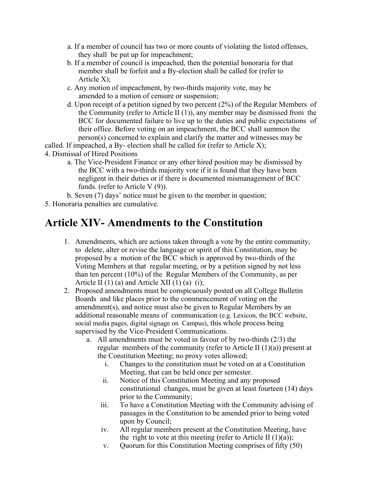- a. If a member of council has two or more counts of violating the listed offenses, they shall be put up for impeachment;
- b. If a member of council is impeached, then the potential honoraria for that member shall be forfeit and a By-election shall be called for (refer to Article X);
- c. Any motion of impeachment, by two-thirds majority vote, may be amended to a motion of censure or suspension;
- d. Upon receipt of a petition signed by two percent (2%) of the Regular Members of the Community (refer to Article II (1)), any member may be dismissed from the BCC for documented failure to live up to the duties and public expectations of their office. Before voting on an impeachment, the BCC shall summon the person(s) concerned to explain and clarify the matter and witnesses may be

called. If impeached, a By- election shall be called for (refer to Article X);

4. Dismissal of Hired Positions

a. The Vice-President Finance or any other hired position may be dismissed by the BCC with a two-thirds majority vote if it is found that they have been negligent in their duties or if there is documented mismanagement of BCC funds. (refer to Article V (9)).

b. Seven (7) days' notice must be given to the member in question;

5. Honoraria penalties are cumulative.

### **Article XIV- Amendments to the Constitution**

- 1. Amendments, which are actions taken through a vote by the entire community, to delete, alter or revise the language or spirit of this Constitution, may be proposed by a motion of the BCC which is approved by two-thirds of the Voting Members at that regular meeting, or by a petition signed by not less than ten percent (10%) of the Regular Members of the Community, as per Article II  $(1)$  (a) and Article XII  $(1)$  (a)  $(i)$ ;
- 2. Proposed amendments must be conspicuously posted on all College Bulletin Boards and like places prior to the commencement of voting on the amendment(s), and notice must also be given to Regular Members by an additional reasonable means of communication (e.g. Lexicon, the BCC website, social media pages, digital signage on Campus), this whole process being supervised by the Vice-President Communications.
	- a. All amendments must be voted in favour of by two-thirds (2/3) the regular members of the community (refer to Article II  $(1)(a)$ ) present at the Constitution Meeting; no proxy votes allowed;
		- i. Changes to the constitution must be voted on at a Constitution Meeting, that can be held once per semester.
		- ii. Notice of this Constitution Meeting and any proposed constitutional changes, must be given at least fourteen (14) days prior to the Community;
		- iii. To have a Constitution Meeting with the Community advising of passages in the Constitution to be amended prior to being voted upon by Council;
		- iv. All regular members present at the Constitution Meeting, have the right to vote at this meeting (refer to Article II  $(1)(a)$ );
		- v. Quorum for this Constitution Meeting comprises of fifty (50)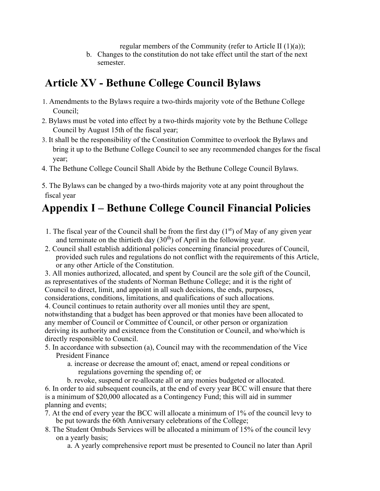regular members of the Community (refer to Article II (1)(a));

b. Changes to the constitution do not take effect until the start of the next semester.

# **Article XV - Bethune College Council Bylaws**

- 1. Amendments to the Bylaws require a two-thirds majority vote of the Bethune College Council;
- 2. Bylaws must be voted into effect by a two-thirds majority vote by the Bethune College Council by August 15th of the fiscal year;
- 3. It shall be the responsibility of the Constitution Committee to overlook the Bylaws and bring it up to the Bethune College Council to see any recommended changes for the fiscal year;
- 4. The Bethune College Council Shall Abide by the Bethune College Council Bylaws.
- 5. The Bylaws can be changed by a two-thirds majority vote at any point throughout the fiscal year

# **Appendix I – Bethune College Council Financial Policies**

- 1. The fiscal year of the Council shall be from the first day  $(1<sup>st</sup>)$  of May of any given year and terminate on the thirtieth day  $(30<sup>th</sup>)$  of April in the following year.
- 2. Council shall establish additional policies concerning financial procedures of Council, provided such rules and regulations do not conflict with the requirements of this Article, or any other Article of the Constitution.
- 3. All monies authorized, allocated, and spent by Council are the sole gift of the Council, as representatives of the students of Norman Bethune College; and it is the right of Council to direct, limit, and appoint in all such decisions, the ends, purposes,

considerations, conditions, limitations, and qualifications of such allocations.

4. Council continues to retain authority over all monies until they are spent,

notwithstanding that a budget has been approved or that monies have been allocated to any member of Council or Committee of Council, or other person or organization deriving its authority and existence from the Constitution or Council, and who/which is directly responsible to Council.

- 5. In accordance with subsection (a), Council may with the recommendation of the Vice President Finance
	- a. increase or decrease the amount of; enact, amend or repeal conditions or regulations governing the spending of; or
	- b. revoke, suspend or re-allocate all or any monies budgeted or allocated.

6. In order to aid subsequent councils, at the end of every year BCC will ensure that there is a minimum of \$20,000 allocated as a Contingency Fund; this will aid in summer planning and events;

- 7. At the end of every year the BCC will allocate a minimum of 1% of the council levy to be put towards the 60th Anniversary celebrations of the College;
- 8. The Student Ombuds Services will be allocated a minimum of 15% of the council levy on a yearly basis;

a. A yearly comprehensive report must be presented to Council no later than April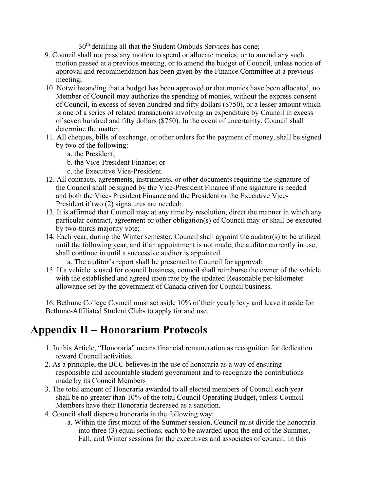30<sup>th</sup> detailing all that the Student Ombuds Services has done;

- 9. Council shall not pass any motion to spend or allocate monies, or to amend any such motion passed at a previous meeting, or to amend the budget of Council, unless notice of approval and recommendation has been given by the Finance Committee at a previous meeting;
- 10. Notwithstanding that a budget has been approved or that monies have been allocated, no Member of Council may authorize the spending of monies, without the express consent of Council, in excess of seven hundred and fifty dollars (\$750), or a lesser amount which is one of a series of related transactions involving an expenditure by Council in excess of seven hundred and fifty dollars (\$750). In the event of uncertainty, Council shall determine the matter.
- 11. All cheques, bills of exchange, or other orders for the payment of money, shall be signed by two of the following:
	- a. the President;
	- b. the Vice-President Finance; or
	- c. the Executive Vice-President.
- 12. All contracts, agreements, instruments, or other documents requiring the signature of the Council shall be signed by the Vice-President Finance if one signature is needed and both the Vice- President Finance and the President or the Executive Vice-President if two (2) signatures are needed;
- 13. It is affirmed that Council may at any time by resolution, direct the manner in which any particular contract, agreement or other obligation(s) of Council may or shall be executed by two-thirds majority vote;
- 14. Each year, during the Winter semester, Council shall appoint the auditor(s) to be utilized until the following year, and if an appointment is not made, the auditor currently in use, shall continue in until a successive auditor is appointed
	- a. The auditor's report shall be presented to Council for approval;
- 15. If a vehicle is used for council business, council shall reimburse the owner of the vehicle with the established and agreed upon rate by the updated Reasonable per-kilometer allowance set by the government of Canada driven for Council business.

16. Bethune College Council must set aside 10% of their yearly levy and leave it aside for Bethune-Affiliated Student Clubs to apply for and use.

# **Appendix II – Honorarium Protocols**

- 1. In this Article, "Honoraria" means financial remuneration as recognition for dedication toward Council activities.
- 2. As a principle, the BCC believes in the use of honoraria as a way of ensuring responsible and accountable student government and to recognize the contributions made by its Council Members
- 3. The total amount of Honoraria awarded to all elected members of Council each year shall be no greater than 10% of the total Council Operating Budget, unless Council Members have their Honoraria decreased as a sanction.
- 4. Council shall disperse honoraria in the following way:
	- a. Within the first month of the Summer session, Council must divide the honoraria into three (3) equal sections, each to be awarded upon the end of the Summer, Fall, and Winter sessions for the executives and associates of council. In this